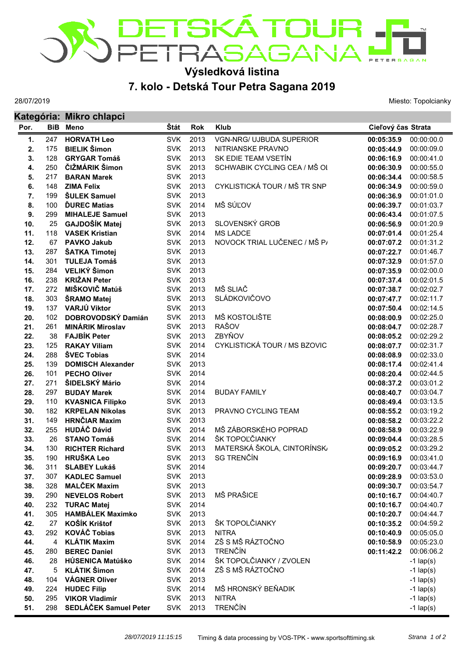

## **Výsledková listina**

## **7. kolo - Detská Tour Petra Sagana 2019**

28/07/2019

Miesto: Topolcianky

|      |     | Kategória: Mikro chlapci |            |            |                                 |                    |             |  |  |
|------|-----|--------------------------|------------|------------|---------------------------------|--------------------|-------------|--|--|
| Por. | BiB | Meno                     | Štát       | <b>Rok</b> | <b>Klub</b>                     | Cieľový čas Strata |             |  |  |
| 1.   | 247 | <b>HORVATH Leo</b>       | <b>SVK</b> | 2013       | <b>VGN-NRG/ UJBUDA SUPERIOR</b> | 00:05:35.9         | 00:00:00.0  |  |  |
| 2.   | 175 | <b>BIELIK Šimon</b>      | <b>SVK</b> | 2013       | NITRIANSKE PRAVNO               | 00:05:44.9         | 00:00:09.0  |  |  |
| 3.   | 128 | <b>GRYGAR Tomáš</b>      | <b>SVK</b> | 2013       | SK EDIE TEAM VSETÍN             | 00:06:16.9         | 00:00:41.0  |  |  |
| 4.   | 250 | ČIŽMÁRIK Šimon           | <b>SVK</b> | 2013       | SCHWABIK CYCLING CEA / MŠ OI    | 00:06:30.9         | 00:00:55.0  |  |  |
| 5.   | 217 | <b>BARAN Marek</b>       | <b>SVK</b> | 2013       |                                 | 00:06:34.4         | 00:00:58.5  |  |  |
| 6.   | 148 | <b>ZIMA Felix</b>        | <b>SVK</b> | 2013       | CYKLISTICKÁ TOUR / MŠ TR SNP    | 00:06:34.9         | 00:00:59.0  |  |  |
| 7.   | 199 | <b>ŠULEK Samuel</b>      | <b>SVK</b> | 2013       |                                 | 00:06:36.9         | 00:01:01.0  |  |  |
| 8.   | 100 | <b>DUREC Matias</b>      | <b>SVK</b> | 2014       | MŠ SÚĽOV                        | 00:06:39.7         | 00:01:03.7  |  |  |
| 9.   | 299 | <b>MIHALEJE Samuel</b>   | <b>SVK</b> | 2013       |                                 | 00:06:43.4         | 00:01:07.5  |  |  |
| 10.  | 25  | GAJDOŠÍK Matej           | <b>SVK</b> | 2013       | SLOVENSKÝ GROB                  | 00:06:56.9         | 00:01:20.9  |  |  |
| 11.  | 118 | <b>VASEK Kristian</b>    | <b>SVK</b> | 2014       | <b>MS LADCE</b>                 | 00:07:01.4         | 00:01:25.4  |  |  |
| 12.  | 67  | <b>PAVKO Jakub</b>       | <b>SVK</b> | 2013       | NOVOCK TRIAL LUČENEC / MŠ P/    | 00:07:07.2         | 00:01:31.2  |  |  |
| 13.  | 287 | ŠATKA Timotej            | <b>SVK</b> | 2013       |                                 | 00:07:22.7         | 00:01:46.7  |  |  |
| 14.  | 301 | <b>TULEJA Tomáš</b>      | <b>SVK</b> | 2013       |                                 | 00:07:32.9         | 00:01:57.0  |  |  |
| 15.  | 284 | VELIKÝ Šimon             | <b>SVK</b> | 2013       |                                 | 00:07:35.9         | 00:02:00.0  |  |  |
| 16.  | 238 | <b>KRIŽAN Peter</b>      | <b>SVK</b> | 2013       |                                 | 00:07:37.4         | 00:02:01.5  |  |  |
| 17.  | 272 | MIŠKOVIČ Matúš           | <b>SVK</b> | 2013       | MŠ SLIAČ                        | 00:07:38.7         | 00:02:02.7  |  |  |
| 18.  | 303 | ŠRAMO Matej              | <b>SVK</b> | 2013       | <b>SLÁDKOVIČOVO</b>             | 00:07:47.7         | 00:02:11.7  |  |  |
| 19.  | 137 | VARJÚ Viktor             | <b>SVK</b> | 2013       |                                 | 00:07:50.4         | 00:02:14.5  |  |  |
| 20.  | 102 | DOBROVODSKÝ Damián       | <b>SVK</b> | 2013       | MŠ KOSTOLIŠTE                   | 00:08:00.9         | 00:02:25.0  |  |  |
| 21.  | 261 | <b>MINÁRIK Miroslav</b>  | <b>SVK</b> | 2013       | <b>RAŠOV</b>                    | 00:08:04.7         | 00:02:28.7  |  |  |
| 22.  | 38  | <b>FAJBÍK Peter</b>      | <b>SVK</b> | 2013       | ZBYŇOV                          | 00:08:05.2         | 00:02:29.2  |  |  |
| 23.  | 125 | <b>RAKAY Viliam</b>      | <b>SVK</b> | 2014       | CYKLISTICKÁ TOUR / MS BZOVIC    | 00:08:07.7         | 00:02:31.7  |  |  |
| 24.  | 288 | <b>SVEC Tobias</b>       | <b>SVK</b> | 2014       |                                 | 00:08:08.9         | 00:02:33.0  |  |  |
| 25.  | 139 | <b>DOMISCH Alexander</b> | <b>SVK</b> | 2013       |                                 | 00:08:17.4         | 00:02:41.4  |  |  |
| 26.  | 101 | <b>PECHO Oliver</b>      | <b>SVK</b> | 2014       |                                 | 00:08:20.4         | 00:02:44.5  |  |  |
| 27.  | 271 | ŠIDELSKÝ Mário           | <b>SVK</b> | 2014       |                                 | 00:08:37.2         | 00:03:01.2  |  |  |
| 28.  | 297 | <b>BUDAY Marek</b>       | <b>SVK</b> | 2014       | <b>BUDAY FAMILY</b>             | 00:08:40.7         | 00:03:04.7  |  |  |
| 29.  | 110 | <b>KVASNICA Filipko</b>  | <b>SVK</b> | 2013       |                                 | 00:08:49.4         | 00:03:13.5  |  |  |
| 30.  | 182 | <b>KRPELAN Nikolas</b>   | <b>SVK</b> | 2013       | PRAVNO CYCLING TEAM             | 00:08:55.2         | 00:03:19.2  |  |  |
| 31.  | 149 | <b>HRNČIAR Maxim</b>     | <b>SVK</b> | 2013       |                                 | 00:08:58.2         | 00:03:22.2  |  |  |
| 32.  | 255 | <b>HUDÁČ Dávid</b>       | <b>SVK</b> | 2014       | MŠ ZÁBORSKÉHO POPRAD            | 00:08:58.9         | 00:03:22.9  |  |  |
| 33.  | 26  | <b>STANO Tomáš</b>       | <b>SVK</b> | 2014       | ŠK TOPOĽČIANKY                  | 00:09:04.4         | 00:03:28.5  |  |  |
| 34.  | 130 | <b>RICHTER Richard</b>   | <b>SVK</b> | 2013       | MATERSKÁ ŠKOLA, CINTORÍNSK      | 00:09:05.2         | 00:03:29.2  |  |  |
| 35.  | 190 | <b>HRUŠKA Leo</b>        | <b>SVK</b> | 2013       | SG TRENČÍN                      | 00:09:16.9         | 00:03:41.0  |  |  |
| 36.  | 311 | <b>SLABEY Lukáš</b>      | <b>SVK</b> | 2014       |                                 | 00:09:20.7         | 00:03:44.7  |  |  |
| 37.  | 307 | <b>KADLEC Samuel</b>     | <b>SVK</b> | 2013       |                                 | 00:09:28.9         | 00:03:53.0  |  |  |
| 38.  | 328 | <b>MALČEK Maxim</b>      | <b>SVK</b> | 2013       |                                 | 00:09:30.7         | 00:03:54.7  |  |  |
| 39.  | 290 | <b>NEVELOS Robert</b>    | <b>SVK</b> | 2013       | MŠ PRAŠICE                      | 00:10:16.7         | 00:04:40.7  |  |  |
| 40.  | 232 | <b>TURAC Matej</b>       | <b>SVK</b> | 2014       |                                 | 00:10:16.7         | 00:04:40.7  |  |  |
| 41.  | 305 | <b>HAMBÁLEK Maximko</b>  | <b>SVK</b> | 2013       |                                 | 00:10:20.7         | 00:04:44.7  |  |  |
| 42.  | 27  | <b>KOŠÍK Krištof</b>     | <b>SVK</b> | 2013       | ŠK TOPOLČIANKY                  | 00:10:35.2         | 00:04:59.2  |  |  |
| 43.  | 292 | <b>KOVÁČ Tobias</b>      | <b>SVK</b> | 2013       | <b>NITRA</b>                    | 00:10:40.9         | 00:05:05.0  |  |  |
| 44.  | 4   | <b>KLÁTIK Maxim</b>      | <b>SVK</b> | 2014       | ZŠ S MŠ RÁZTOČNO                | 00:10:58.9         | 00:05:23.0  |  |  |
| 45.  | 280 | <b>BEREC Daniel</b>      | <b>SVK</b> | 2013       | <b>TRENČÍN</b>                  | 00:11:42.2         | 00:06:06.2  |  |  |
| 46.  | 28  | HÚSENICA Matúško         | <b>SVK</b> | 2014       | ŠK TOPOLČIANKY / ZVOLEN         |                    | $-1$ lap(s) |  |  |
| 47.  | 5   | <b>KLÁTIK Šimon</b>      | <b>SVK</b> | 2014       | ZŠ S MŠ RÁZTOČNO                |                    | $-1$ lap(s) |  |  |
| 48.  | 104 | <b>VÁGNER Oliver</b>     | <b>SVK</b> | 2013       |                                 |                    | $-1$ lap(s) |  |  |
| 49.  | 224 | <b>HUDEC Filip</b>       | <b>SVK</b> | 2014       | MŠ HRONSKÝ BEŇADIK              |                    | $-1$ lap(s) |  |  |
| 50.  | 295 | <b>VIKOR Vladimír</b>    | <b>SVK</b> | 2013       | <b>NITRA</b>                    |                    | $-1$ lap(s) |  |  |
| 51.  | 298 | SEDLÁČEK Samuel Peter    | <b>SVK</b> | 2013       | <b>TRENČÍN</b>                  |                    | $-1$ lap(s) |  |  |